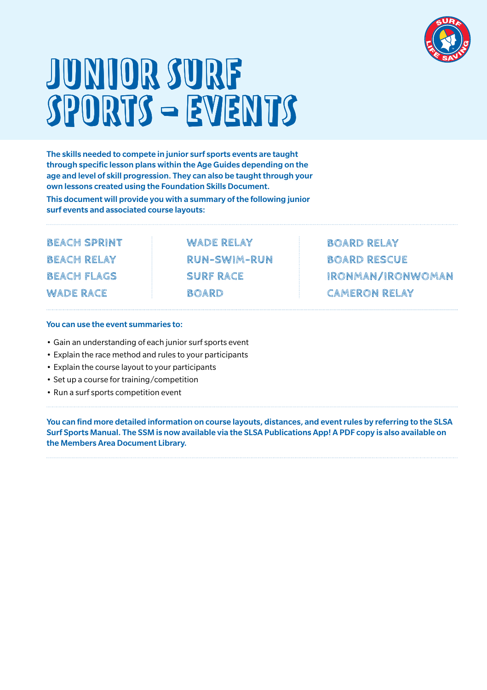

## JUNIOR SURF<br>KPORTS – EVENTS SPORTS - EVENTS

The skills needed to compete in junior surf sports events are taught through specific lesson plans within the Age Guides depending on the age and level of skill progression. They can also be taught through your own lessons created using the Foundation Skills Document.

This document will provide you with a summary of the following junior surf events and associated course layouts:

**BEACH SPRINT BEACH RELAY BEACH FLAGS WADE RACE**

**WADE RELAY RUN-SWIM-RUN SURF RACE BOARD**

**BOARD RELAY BOARD RESCUE IRONMAN/IRONWOMAN CAMERON RELAY**

#### You can use the event summaries to:

- Gain an understanding of each junior surf sports event
- Explain the race method and rules to your participants
- Explain the course layout to your participants
- Set up a course for training/competition
- Run a surf sports competition event

You can find more detailed information on course layouts, distances, and event rules by referring to the SLSA Surf Sports Manual. The SSM is now available via the SLSA Publications App! A PDF copy is also available on the Members Area Document Library.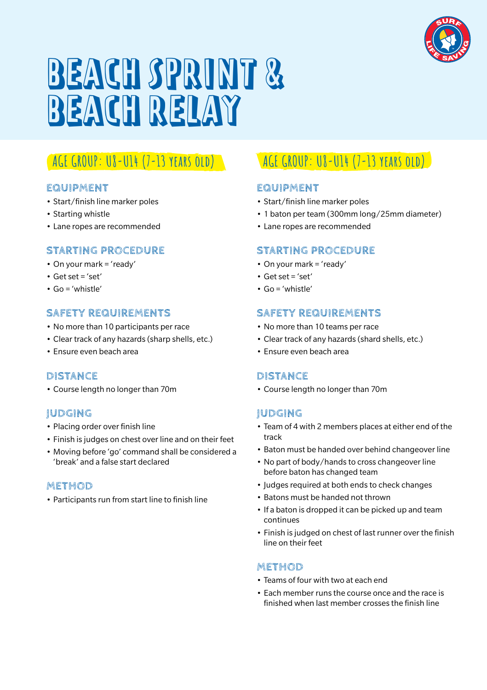

## BEACH SPRINT & BEACH RELAY

## **AGE GROUP: U8-U14 (7-13 years old)**

### **EQUIPMENT**

- Start/finish line marker poles
- Starting whistle
- Lane ropes are recommended

## **STARTING PROCEDURE**

- On your mark = 'ready'
- Get set = 'set'
- Go = 'whistle'

## **SAFETY REQUIREMENTS**

- No more than 10 participants per race
- Clear track of any hazards (sharp shells, etc.)
- Ensure even beach area

## **DISTANCE**

• Course length no longer than 70m

## **JUDGING**

- Placing order over finish line
- Finish is judges on chest over line and on their feet
- Moving before 'go' command shall be considered a 'break' and a false start declared

## **METHOD**

• Participants run from start line to finish line

## **AGE GROUP: U8-U14 (7-13 years old)**

## **EQUIPMENT**

- Start/finish line marker poles
- 1 baton per team (300mm long/25mm diameter)
- Lane ropes are recommended

## **STARTING PROCEDURE**

- On your mark = 'ready'
- $\cdot$  Get set = 'set'
- Go = 'whistle'

## **SAFETY REQUIREMENTS**

- No more than 10 teams per race
- Clear track of any hazards (shard shells, etc.)
- Ensure even beach area

## **DISTANCE**

• Course length no longer than 70m

## **JUDGING**

- Team of 4 with 2 members places at either end of the track
- Baton must be handed over behind changeover line
- No part of body/hands to cross changeover line before baton has changed team
- Judges required at both ends to check changes
- Batons must be handed not thrown
- If a baton is dropped it can be picked up and team continues
- Finish is judged on chest of last runner over the finish line on their feet

- Teams of four with two at each end
- Each member runs the course once and the race is finished when last member crosses the finish line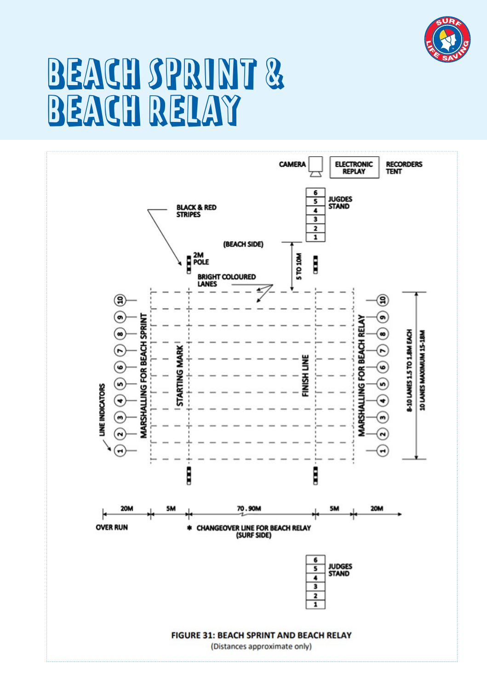

## BEACH SPRINT & BEACH RELAY

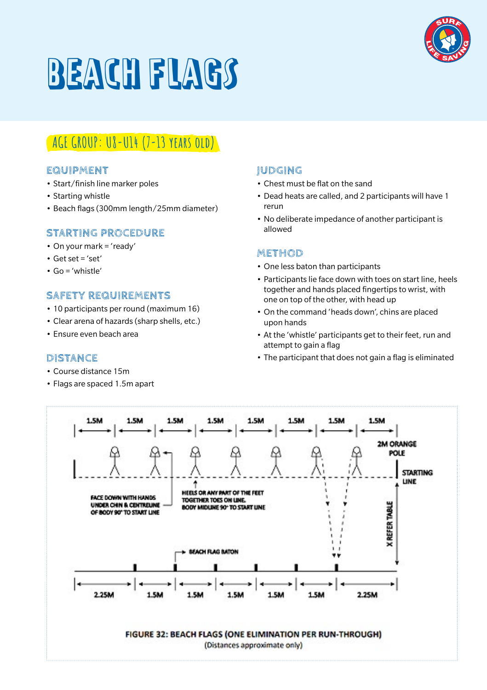

## BEACH FLAGS

## **AGE GROUP: U8-U14 (7-13 years old)**

#### **EQUIPMENT**

- Start/finish line marker poles
- Starting whistle
- Beach flags (300mm length/25mm diameter)

## **STARTING PROCEDURE**

- On your mark = 'ready'
- $\cdot$  Get set = 'set'
- Go = 'whistle'

## **SAFETY REQUIREMENTS**

- 10 participants per round (maximum 16)
- Clear arena of hazards (sharp shells, etc.)
- Ensure even beach area

#### **DISTANCE**

- Course distance 15m
- Flags are spaced 1.5m apart

#### **JUDGING**

- Chest must be flat on the sand
- Dead heats are called, and 2 participants will have 1 rerun
- No deliberate impedance of another participant is allowed

- One less baton than participants
- Participants lie face down with toes on start line, heels together and hands placed fingertips to wrist, with one on top of the other, with head up
- On the command 'heads down', chins are placed upon hands
- At the 'whistle' participants get to their feet, run and attempt to gain a flag
- The participant that does not gain a flag is eliminated

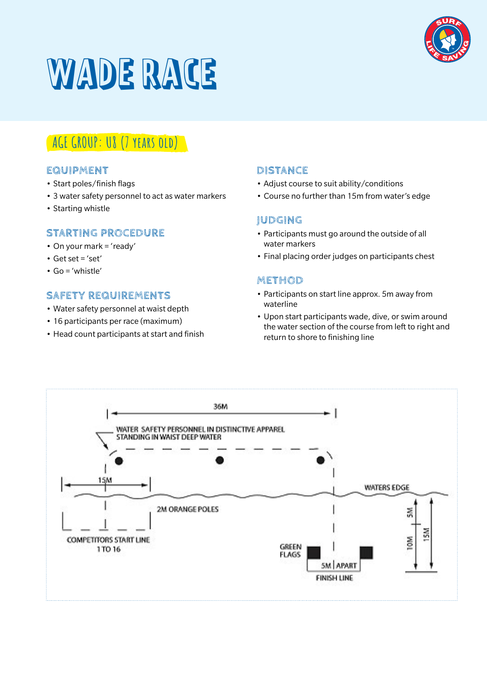

## WADE RACE

## **AGE GROUP: U8 (7 years old)**

## **EQUIPMENT**

- Start poles/finish flags
- 3 water safety personnel to act as water markers
- Starting whistle

## **STARTING PROCEDURE**

- On your mark = 'ready'
- $\bullet$  Get set = 'set'
- Go = 'whistle'

## **SAFETY REQUIREMENTS**

- Water safety personnel at waist depth
- 16 participants per race (maximum)
- Head count participants at start and finish

### **DISTANCE**

- Adjust course to suit ability/conditions
- Course no further than 15m from water's edge

## **JUDGING**

- Participants must go around the outside of all water markers
- Final placing order judges on participants chest

- Participants on start line approx. 5m away from waterline
- Upon start participants wade, dive, or swim around the water section of the course from left to right and return to shore to finishing line

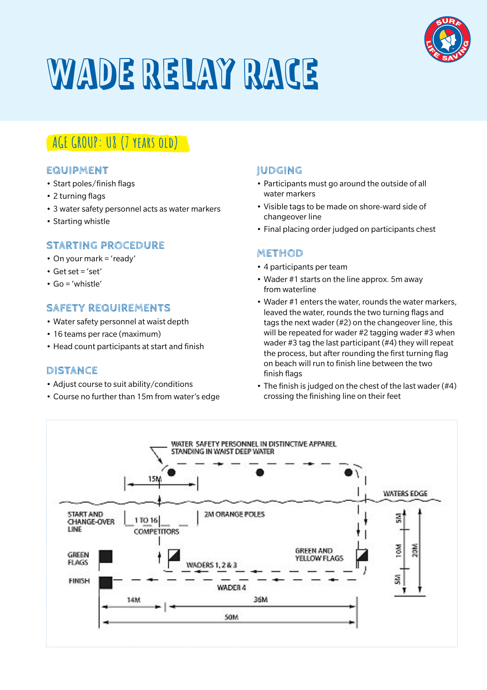

## WADE RELAY RACE

## **AGE GROUP: U8 (7 years old)**

### **EQUIPMENT**

- Start poles/finish flags
- 2 turning flags
- 3 water safety personnel acts as water markers
- Starting whistle

### **STARTING PROCEDURE**

- On your mark = 'ready'
- $\cdot$  Get set = 'set'
- $\cdot$  Go = 'whistle'

## **SAFETY REQUIREMENTS**

- Water safety personnel at waist depth
- 16 teams per race (maximum)
- Head count participants at start and finish

## **DISTANCE**

- Adjust course to suit ability/conditions
- Course no further than 15m from water's edge

## **JUDGING**

- Participants must go around the outside of all water markers
- Visible tags to be made on shore-ward side of changeover line
- Final placing order judged on participants chest

- 4 participants per team
- Wader #1 starts on the line approx. 5m away from waterline
- Wader #1 enters the water, rounds the water markers, leaved the water, rounds the two turning flags and tags the next wader (#2) on the changeover line, this will be repeated for wader #2 tagging wader #3 when wader #3 tag the last participant (#4) they will repeat the process, but after rounding the first turning flag on beach will run to finish line between the two finish flags
- The finish is judged on the chest of the last wader (#4) crossing the finishing line on their feet

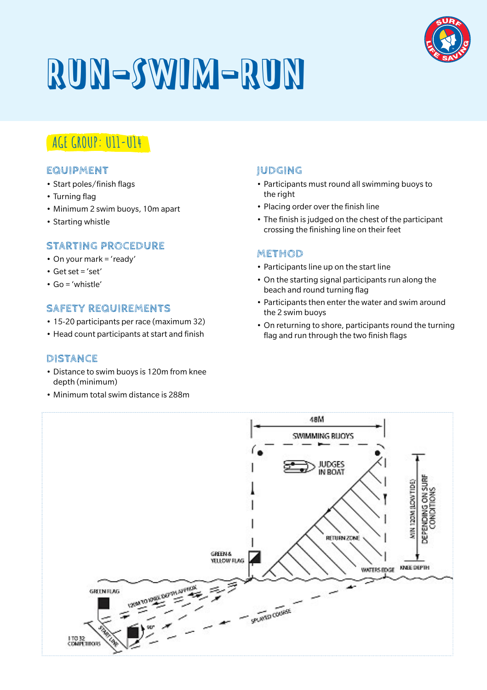

# RUN-SWIM-RUN

## **AGE GROUP: U11-U14**

### **EQUIPMENT**

- Start poles/finish flags
- Turning flag
- Minimum 2 swim buoys, 10m apart
- Starting whistle

## **STARTING PROCEDURE**

- On your mark = 'ready'
- $\cdot$  Get set = 'set'
- $\cdot$  Go = 'whistle'

## **SAFETY REQUIREMENTS**

- 15-20 participants per race (maximum 32)
- Head count participants at start and finish

## **DISTANCE**

- Distance to swim buoys is 120m from knee depth (minimum)
- Minimum total swim distance is 288m

## **JUDGING**

- Participants must round all swimming buoys to the right
- Placing order over the finish line
- The finish is judged on the chest of the participant crossing the finishing line on their feet

- Participants line up on the start line
- On the starting signal participants run along the beach and round turning flag
- Participants then enter the water and swim around the 2 swim buoys
- On returning to shore, participants round the turning flag and run through the two finish flags

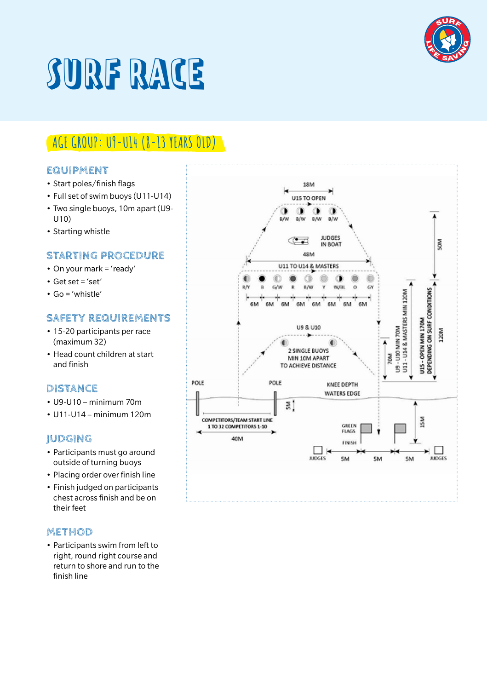

## SURF RACE

## **AGE GROUP: U9-U14 (8-13 YEARS OLD)**

### **EQUIPMENT**

- Start poles/finish flags
- Full set of swim buoys (U11-U14)
- Two single buoys, 10m apart (U9- U10)
- Starting whistle

## **STARTING PROCEDURE**

- On your mark = 'ready'
- $\cdot$  Get set = 'set'
- Go = 'whistle'

## **SAFETY REQUIREMENTS**

- 15-20 participants per race (maximum 32)
- Head count children at start and finish

#### **DISTANCE**

- U9-U10 minimum 70m
- $\cdot$  U11-U14 minimum 120m

## **JUDGING**

- Participants must go around outside of turning buoys
- Placing order over finish line
- Finish judged on participants chest across finish and be on their feet

#### **METHOD**

• Participants swim from left to right, round right course and return to shore and run to the finish line

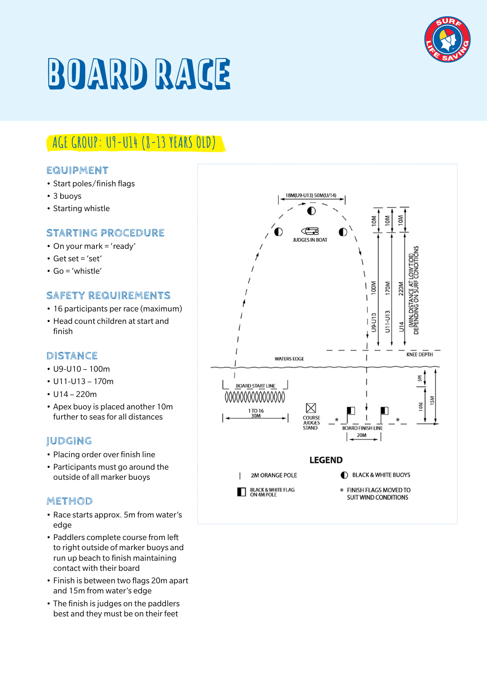

## BOARD RACE

## **AGE GROUP: U9-U14 (8-13 YEARS OLD)**

### **EQUIPMENT**

- Start poles/finish flags
- 3 buoys
- Starting whistle

## **STARTING PROCEDURE**

- On your mark = 'ready'
- $\cdot$  Get set = 'set'
- Go = 'whistle'

## **SAFETY REQUIREMENTS**

- 16 participants per race (maximum)
- Head count children at start and finish

## **DISTANCE**

- U9-U10 100m
- U11-U13 170m
- $\cdot$  U14 220m
- Apex buoy is placed another 10m further to seas for all distances

## **JUDGING**

- Placing order over finish line
- Participants must go around the outside of all marker buoys

- Race starts approx. 5m from water's edge
- Paddlers complete course from left to right outside of marker buoys and run up beach to finish maintaining contact with their board
- Finish is between two flags 20m apart and 15m from water's edge
- The finish is judges on the paddlers best and they must be on their feet

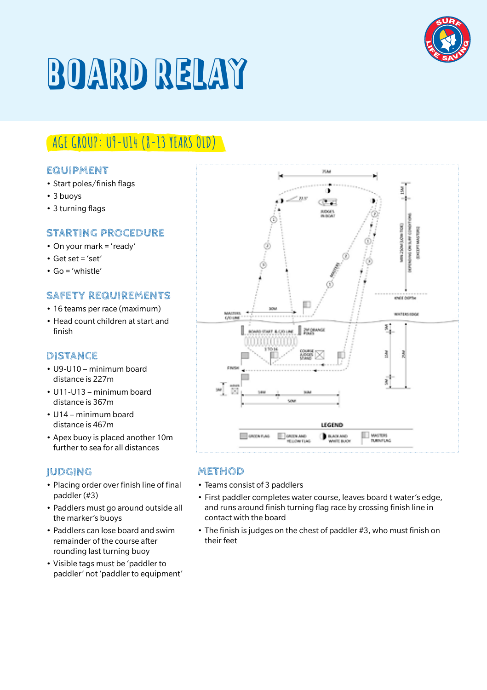

## BOARD RELAY

## **AGE GROUP: U9-U14 (8-13 YEARS OLD)**

### **EQUIPMENT**

- Start poles/finish flags
- 3 buoys
- 3 turning flags

## **STARTING PROCEDURE**

- On your mark = 'ready'
- $\cdot$  Get set = 'set'
- Go = 'whistle'

## **SAFETY REQUIREMENTS**

- 16 teams per race (maximum)
- Head count children at start and finish

## **DISTANCE**

- U9-U10 minimum board distance is 227m
- U11-U13 minimum board distance is 367m
- U14 minimum board distance is 467m
- Apex buoy is placed another 10m further to sea for all distances

## **JUDGING**

- Placing order over finish line of final paddler (#3)
- Paddlers must go around outside all the marker's buoys
- Paddlers can lose board and swim remainder of the course after rounding last turning buoy
- Visible tags must be 'paddler to paddler' not 'paddler to equipment'



- Teams consist of 3 paddlers
- First paddler completes water course, leaves board t water's edge, and runs around finish turning flag race by crossing finish line in contact with the board
- The finish is judges on the chest of paddler #3, who must finish on their feet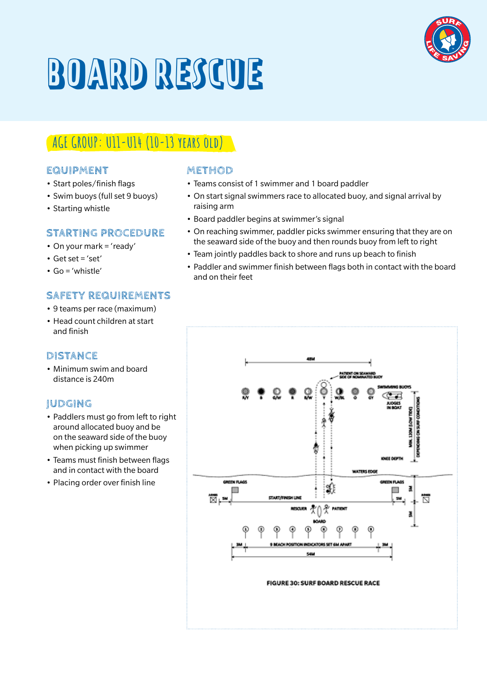## BOARD RESCUE

## **AGE GROUP: U11-U14 (10-13 years old)**

### **EQUIPMENT**

- Start poles/finish flags
- Swim buoys (full set 9 buoys)
- Starting whistle

## **STARTING PROCEDURE**

- On your mark = 'ready'
- $\cdot$  Get set = 'set'
- Go = 'whistle'

## **SAFETY REQUIREMENTS**

- 9 teams per race (maximum)
- Head count children at start and finish

## **DISTANCE**

• Minimum swim and board distance is 240m

## **JUDGING**

- Paddlers must go from left to right around allocated buoy and be on the seaward side of the buoy when picking up swimmer
- Teams must finish between flags and in contact with the board
- Placing order over finish line

- Teams consist of 1 swimmer and 1 board paddler
- On start signal swimmers race to allocated buoy, and signal arrival by raising arm
- Board paddler begins at swimmer's signal
- On reaching swimmer, paddler picks swimmer ensuring that they are on the seaward side of the buoy and then rounds buoy from left to right
- Team jointly paddles back to shore and runs up beach to finish
- Paddler and swimmer finish between flags both in contact with the board and on their feet



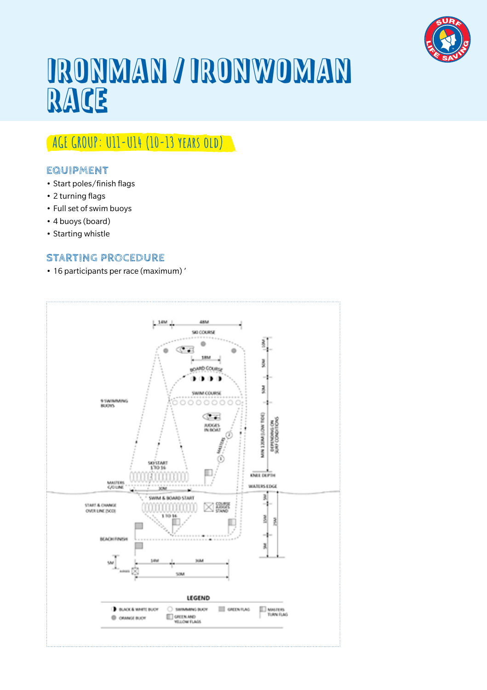

## IRONMAN / IRONWOMAN RACE

## **AGE GROUP: U11-U14 (10-13 years old)**

## **EQUIPMENT**

- Start poles/finish flags
- 2 turning flags
- Full set of swim buoys
- 4 buoys (board)
- Starting whistle

## **STARTING PROCEDURE**

• 16 participants per race (maximum) '